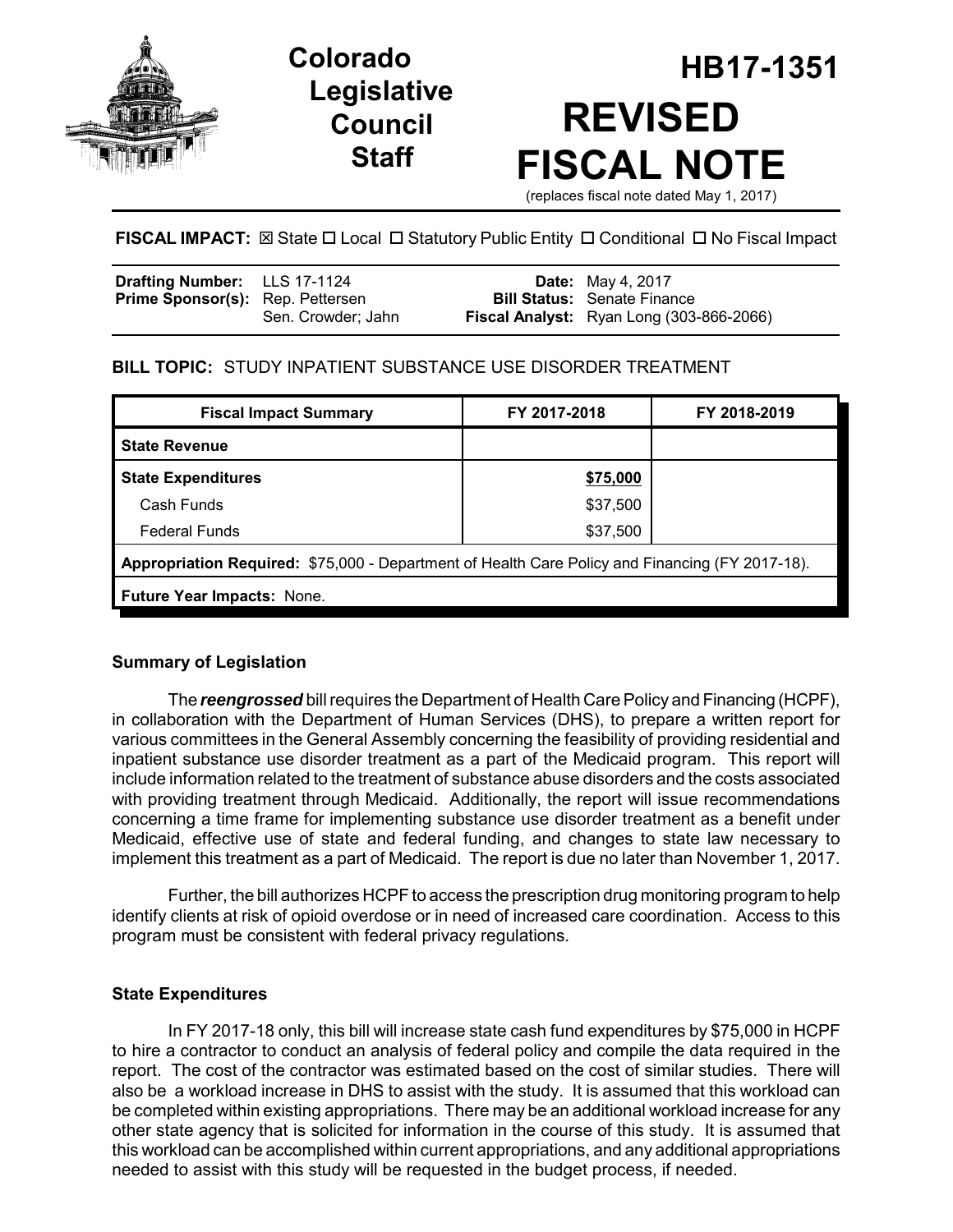

# **Legislative Council Staff**

# **HB17-1351 Colorado REVISED FISCAL NOTE** (replaces fiscal note dated May 1, 2017)

**FISCAL IMPACT:** ⊠ State □ Local □ Statutory Public Entity □ Conditional □ No Fiscal Impact

| Drafting Number: LLS 17-1124            |                    | <b>Date:</b> May 4, 2017                 |
|-----------------------------------------|--------------------|------------------------------------------|
| <b>Prime Sponsor(s):</b> Rep. Pettersen |                    | <b>Bill Status:</b> Senate Finance       |
|                                         | Sen. Crowder; Jahn | Fiscal Analyst: Ryan Long (303-866-2066) |

# **BILL TOPIC:** STUDY INPATIENT SUBSTANCE USE DISORDER TREATMENT

| FY 2017-2018                                                                                    | FY 2018-2019 |  |  |  |
|-------------------------------------------------------------------------------------------------|--------------|--|--|--|
|                                                                                                 |              |  |  |  |
| \$75,000                                                                                        |              |  |  |  |
| \$37,500                                                                                        |              |  |  |  |
| \$37,500                                                                                        |              |  |  |  |
| Appropriation Required: \$75,000 - Department of Health Care Policy and Financing (FY 2017-18). |              |  |  |  |
| <b>Future Year Impacts: None.</b>                                                               |              |  |  |  |
|                                                                                                 |              |  |  |  |

# **Summary of Legislation**

The *reengrossed* bill requires the Department of Health Care Policy and Financing (HCPF), in collaboration with the Department of Human Services (DHS), to prepare a written report for various committees in the General Assembly concerning the feasibility of providing residential and inpatient substance use disorder treatment as a part of the Medicaid program. This report will include information related to the treatment of substance abuse disorders and the costs associated with providing treatment through Medicaid. Additionally, the report will issue recommendations concerning a time frame for implementing substance use disorder treatment as a benefit under Medicaid, effective use of state and federal funding, and changes to state law necessary to implement this treatment as a part of Medicaid. The report is due no later than November 1, 2017.

Further, the bill authorizes HCPF to access the prescription drug monitoring program to help identify clients at risk of opioid overdose or in need of increased care coordination. Access to this program must be consistent with federal privacy regulations.

# **State Expenditures**

In FY 2017-18 only, this bill will increase state cash fund expenditures by \$75,000 in HCPF to hire a contractor to conduct an analysis of federal policy and compile the data required in the report. The cost of the contractor was estimated based on the cost of similar studies. There will also be a workload increase in DHS to assist with the study. It is assumed that this workload can be completed within existing appropriations. There may be an additional workload increase for any other state agency that is solicited for information in the course of this study. It is assumed that this workload can be accomplished within current appropriations, and any additional appropriations needed to assist with this study will be requested in the budget process, if needed.